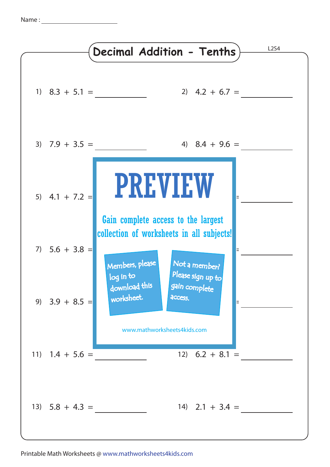